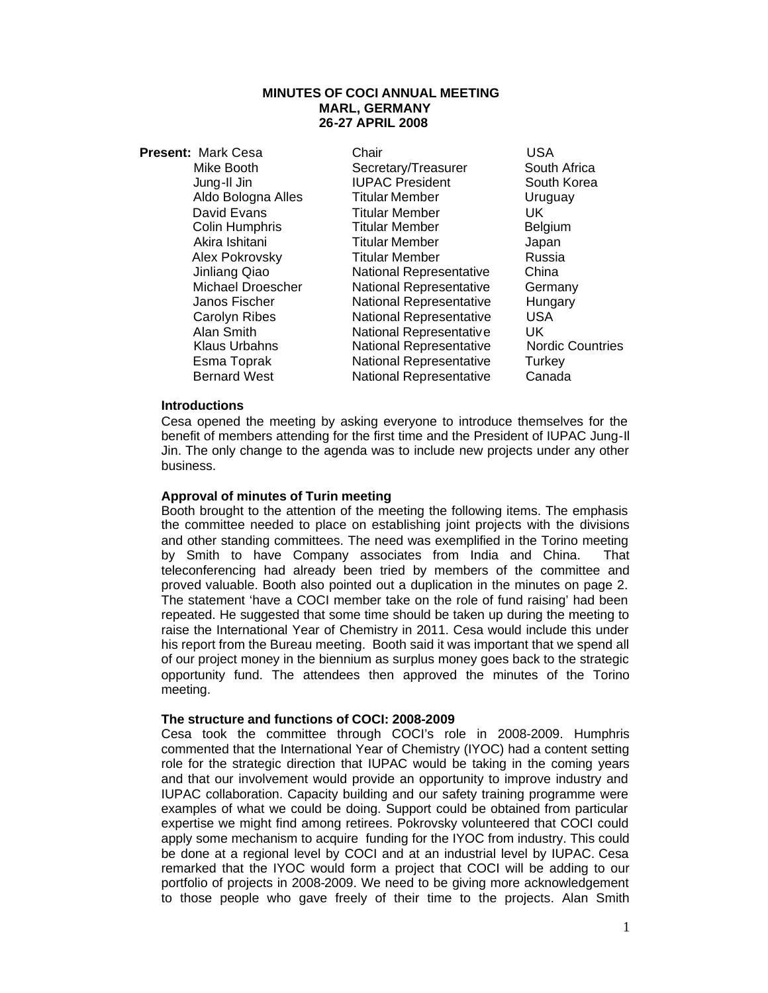#### **MINUTES OF COCI ANNUAL MEETING MARL, GERMANY 26-27 APRIL 2008**

| <b>Present: Mark Cesa</b> | Chair                          | USA                     |
|---------------------------|--------------------------------|-------------------------|
| Mike Booth                | Secretary/Treasurer            | South Africa            |
| Jung-II Jin               | <b>IUPAC President</b>         | South Korea             |
| Aldo Bologna Alles        | <b>Titular Member</b>          | Uruguay                 |
| David Evans               | Titular Member                 | UK.                     |
| Colin Humphris            | <b>Titular Member</b>          | Belgium                 |
| Akira Ishitani            | <b>Titular Member</b>          | Japan                   |
| Alex Pokrovsky            | Titular Member                 | Russia                  |
| Jinliang Qiao             | <b>National Representative</b> | China                   |
| <b>Michael Droescher</b>  | <b>National Representative</b> | Germany                 |
| Janos Fischer             | <b>National Representative</b> | Hungary                 |
| <b>Carolyn Ribes</b>      | <b>National Representative</b> | USA                     |
| Alan Smith                | National Representative        | UK.                     |
| Klaus Urbahns             | <b>National Representative</b> | <b>Nordic Countries</b> |
| Esma Toprak               | <b>National Representative</b> | Turkey                  |
| <b>Bernard West</b>       | <b>National Representative</b> | Canada                  |

#### **Introductions**

Cesa opened the meeting by asking everyone to introduce themselves for the benefit of members attending for the first time and the President of IUPAC Jung-Il Jin. The only change to the agenda was to include new projects under any other business.

# **Approval of minutes of Turin meeting**

Booth brought to the attention of the meeting the following items. The emphasis the committee needed to place on establishing joint projects with the divisions and other standing committees. The need was exemplified in the Torino meeting by Smith to have Company associates from India and China. That teleconferencing had already been tried by members of the committee and proved valuable. Booth also pointed out a duplication in the minutes on page 2. The statement 'have a COCI member take on the role of fund raising' had been repeated. He suggested that some time should be taken up during the meeting to raise the International Year of Chemistry in 2011. Cesa would include this under his report from the Bureau meeting. Booth said it was important that we spend all of our project money in the biennium as surplus money goes back to the strategic opportunity fund. The attendees then approved the minutes of the Torino meeting.

#### **The structure and functions of COCI: 2008-2009**

Cesa took the committee through COCI's role in 2008-2009. Humphris commented that the International Year of Chemistry (IYOC) had a content setting role for the strategic direction that IUPAC would be taking in the coming years and that our involvement would provide an opportunity to improve industry and IUPAC collaboration. Capacity building and our safety training programme were examples of what we could be doing. Support could be obtained from particular expertise we might find among retirees. Pokrovsky volunteered that COCI could apply some mechanism to acquire funding for the IYOC from industry. This could be done at a regional level by COCI and at an industrial level by IUPAC. Cesa remarked that the IYOC would form a project that COCI will be adding to our portfolio of projects in 2008-2009. We need to be giving more acknowledgement to those people who gave freely of their time to the projects. Alan Smith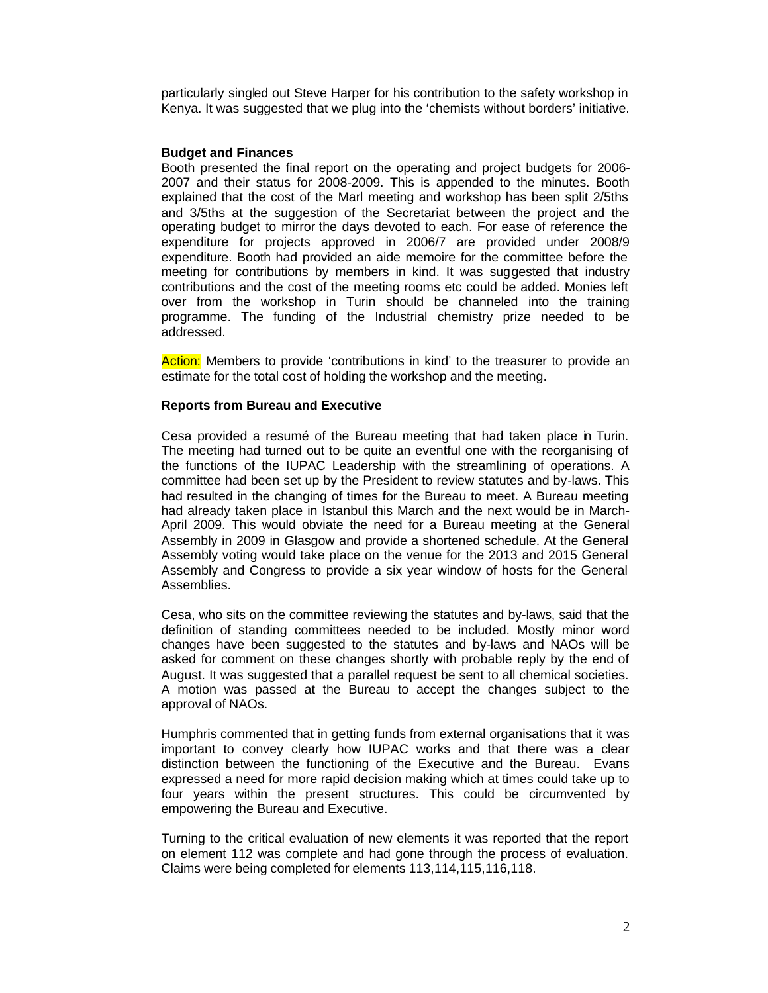particularly singled out Steve Harper for his contribution to the safety workshop in Kenya. It was suggested that we plug into the 'chemists without borders' initiative.

## **Budget and Finances**

Booth presented the final report on the operating and project budgets for 2006- 2007 and their status for 2008-2009. This is appended to the minutes. Booth explained that the cost of the Marl meeting and workshop has been split 2/5ths and 3/5ths at the suggestion of the Secretariat between the project and the operating budget to mirror the days devoted to each. For ease of reference the expenditure for projects approved in 2006/7 are provided under 2008/9 expenditure. Booth had provided an aide memoire for the committee before the meeting for contributions by members in kind. It was suggested that industry contributions and the cost of the meeting rooms etc could be added. Monies left over from the workshop in Turin should be channeled into the training programme. The funding of the Industrial chemistry prize needed to be addressed.

Action: Members to provide 'contributions in kind' to the treasurer to provide an estimate for the total cost of holding the workshop and the meeting.

## **Reports from Bureau and Executive**

Cesa provided a resumé of the Bureau meeting that had taken place in Turin. The meeting had turned out to be quite an eventful one with the reorganising of the functions of the IUPAC Leadership with the streamlining of operations. A committee had been set up by the President to review statutes and by-laws. This had resulted in the changing of times for the Bureau to meet. A Bureau meeting had already taken place in Istanbul this March and the next would be in March-April 2009. This would obviate the need for a Bureau meeting at the General Assembly in 2009 in Glasgow and provide a shortened schedule. At the General Assembly voting would take place on the venue for the 2013 and 2015 General Assembly and Congress to provide a six year window of hosts for the General Assemblies.

Cesa, who sits on the committee reviewing the statutes and by-laws, said that the definition of standing committees needed to be included. Mostly minor word changes have been suggested to the statutes and by-laws and NAOs will be asked for comment on these changes shortly with probable reply by the end of August. It was suggested that a parallel request be sent to all chemical societies. A motion was passed at the Bureau to accept the changes subject to the approval of NAOs.

Humphris commented that in getting funds from external organisations that it was important to convey clearly how IUPAC works and that there was a clear distinction between the functioning of the Executive and the Bureau. Evans expressed a need for more rapid decision making which at times could take up to four years within the present structures. This could be circumvented by empowering the Bureau and Executive.

Turning to the critical evaluation of new elements it was reported that the report on element 112 was complete and had gone through the process of evaluation. Claims were being completed for elements 113,114,115,116,118.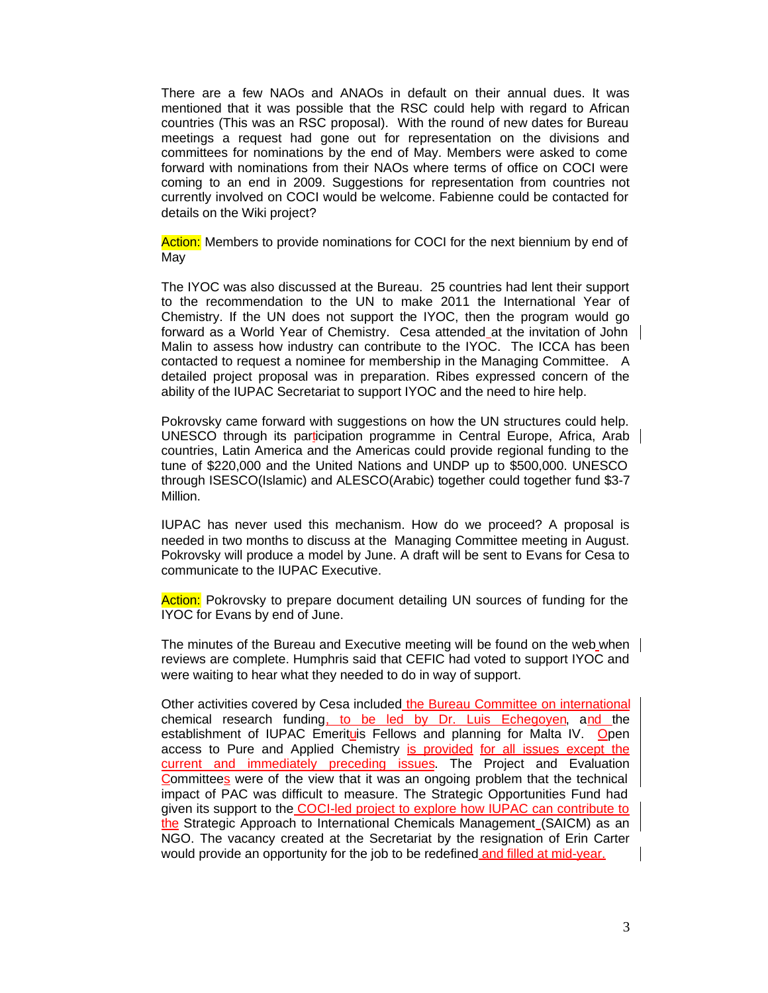There are a few NAOs and ANAOs in default on their annual dues. It was mentioned that it was possible that the RSC could help with regard to African countries (This was an RSC proposal). With the round of new dates for Bureau meetings a request had gone out for representation on the divisions and committees for nominations by the end of May. Members were asked to come forward with nominations from their NAOs where terms of office on COCI were coming to an end in 2009. Suggestions for representation from countries not currently involved on COCI would be welcome. Fabienne could be contacted for details on the Wiki project?

Action: Members to provide nominations for COCI for the next biennium by end of May

The IYOC was also discussed at the Bureau. 25 countries had lent their support to the recommendation to the UN to make 2011 the International Year of Chemistry. If the UN does not support the IYOC, then the program would go forward as a World Year of Chemistry. Cesa attended at the invitation of John Malin to assess how industry can contribute to the IYOC. The ICCA has been contacted to request a nominee for membership in the Managing Committee. A detailed project proposal was in preparation. Ribes expressed concern of the ability of the IUPAC Secretariat to support IYOC and the need to hire help.

Pokrovsky came forward with suggestions on how the UN structures could help. UNESCO through its participation programme in Central Europe, Africa, Arab countries, Latin America and the Americas could provide regional funding to the tune of \$220,000 and the United Nations and UNDP up to \$500,000. UNESCO through ISESCO(Islamic) and ALESCO(Arabic) together could together fund \$3-7 Million.

IUPAC has never used this mechanism. How do we proceed? A proposal is needed in two months to discuss at the Managing Committee meeting in August. Pokrovsky will produce a model by June. A draft will be sent to Evans for Cesa to communicate to the IUPAC Executive.

Action: Pokrovsky to prepare document detailing UN sources of funding for the IYOC for Evans by end of June.

The minutes of the Bureau and Executive meeting will be found on the web when reviews are complete. Humphris said that CEFIC had voted to support IYOC and were waiting to hear what they needed to do in way of support.

Other activities covered by Cesa included the Bureau Committee on international chemical research funding, to be led by Dr. Luis Echegoyen, and the establishment of IUPAC Emerituis Fellows and planning for Malta IV. Open access to Pure and Applied Chemistry is provided for all issues except the current and immediately preceding issues. The Project and Evaluation Committees were of the view that it was an ongoing problem that the technical impact of PAC was difficult to measure. The Strategic Opportunities Fund had given its support to the COCI-led project to explore how IUPAC can contribute to the Strategic Approach to International Chemicals Management (SAICM) as an NGO. The vacancy created at the Secretariat by the resignation of Erin Carter would provide an opportunity for the job to be redefined and filled at mid-year.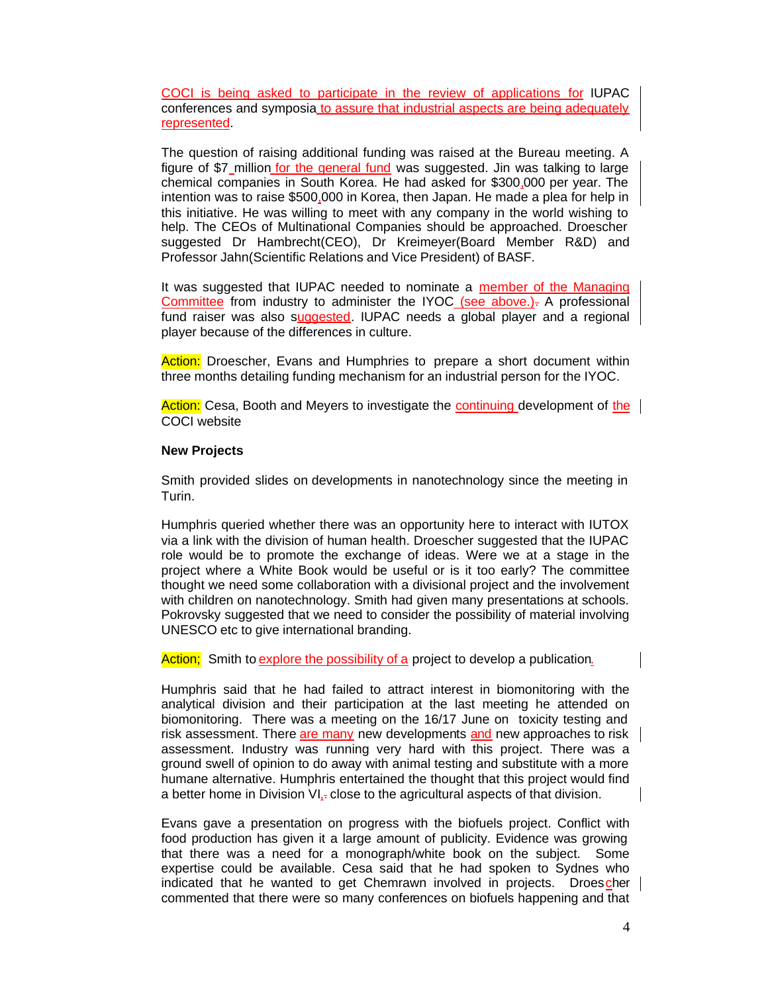COCI is being asked to participate in the review of applications for IUPAC conferences and symposia to assure that industrial aspects are being adequately represented.

The question of raising additional funding was raised at the Bureau meeting. A figure of \$7 million for the general fund was suggested. Jin was talking to large chemical companies in South Korea. He had asked for \$300,000 per year. The intention was to raise \$500,000 in Korea, then Japan. He made a plea for help in this initiative. He was willing to meet with any company in the world wishing to help. The CEOs of Multinational Companies should be approached. Droescher suggested Dr Hambrecht(CEO), Dr Kreimeyer(Board Member R&D) and Professor Jahn(Scientific Relations and Vice President) of BASF.

It was suggested that IUPAC needed to nominate a member of the Managing Committee from industry to administer the IYOC (see above.). A professional fund raiser was also suggested. IUPAC needs a global player and a regional player because of the differences in culture.

Action: Droescher, Evans and Humphries to prepare a short document within three months detailing funding mechanism for an industrial person for the IYOC.

Action: Cesa, Booth and Meyers to investigate the **continuing development of the** COCI website

#### **New Projects**

Smith provided slides on developments in nanotechnology since the meeting in Turin.

Humphris queried whether there was an opportunity here to interact with IUTOX via a link with the division of human health. Droescher suggested that the IUPAC role would be to promote the exchange of ideas. Were we at a stage in the project where a White Book would be useful or is it too early? The committee thought we need some collaboration with a divisional project and the involvement with children on nanotechnology. Smith had given many presentations at schools. Pokrovsky suggested that we need to consider the possibility of material involving UNESCO etc to give international branding.

Action; Smith to explore the possibility of a project to develop a publication.

Humphris said that he had failed to attract interest in biomonitoring with the analytical division and their participation at the last meeting he attended on biomonitoring. There was a meeting on the 16/17 June on toxicity testing and risk assessment. There are many new developments and new approaches to risk | assessment. Industry was running very hard with this project. There was a ground swell of opinion to do away with animal testing and substitute with a more humane alternative. Humphris entertained the thought that this project would find a better home in Division  $VI_{\tau}$  close to the agricultural aspects of that division.

Evans gave a presentation on progress with the biofuels project. Conflict with food production has given it a large amount of publicity. Evidence was growing that there was a need for a monograph/white book on the subject. Some expertise could be available. Cesa said that he had spoken to Sydnes who indicated that he wanted to get Chemrawn involved in projects. Droes cher commented that there were so many conferences on biofuels happening and that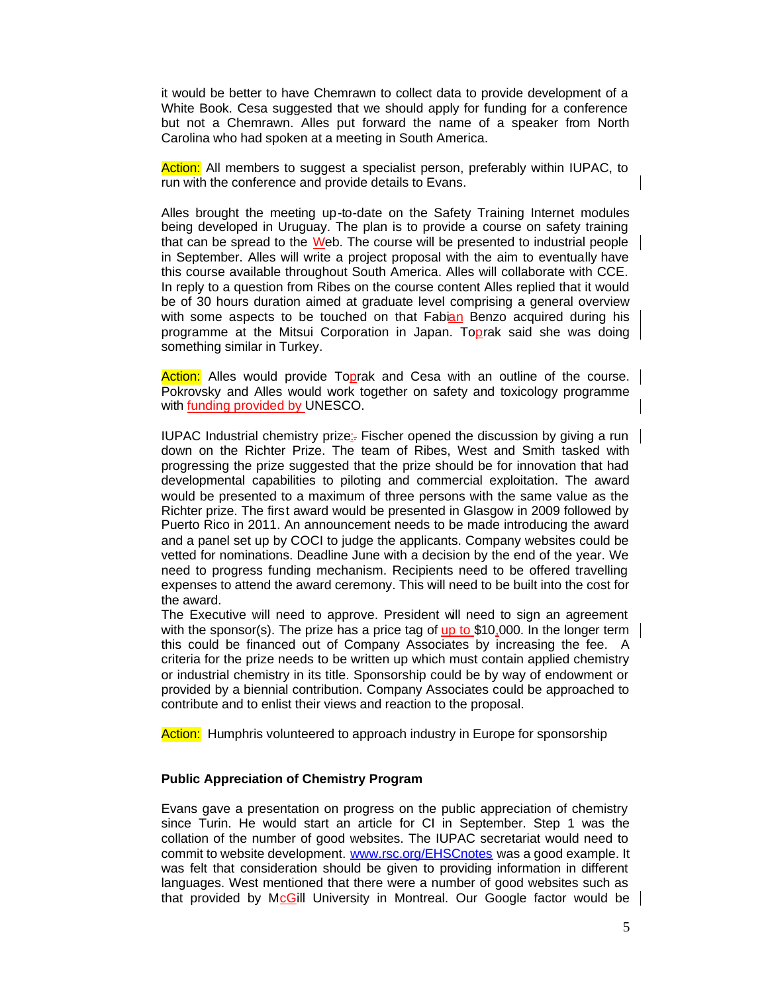it would be better to have Chemrawn to collect data to provide development of a White Book. Cesa suggested that we should apply for funding for a conference but not a Chemrawn. Alles put forward the name of a speaker from North Carolina who had spoken at a meeting in South America.

Action: All members to suggest a specialist person, preferably within IUPAC, to run with the conference and provide details to Evans.

Alles brought the meeting up-to-date on the Safety Training Internet modules being developed in Uruguay. The plan is to provide a course on safety training that can be spread to the  $W$ eb. The course will be presented to industrial people in September. Alles will write a project proposal with the aim to eventually have this course available throughout South America. Alles will collaborate with CCE. In reply to a question from Ribes on the course content Alles replied that it would be of 30 hours duration aimed at graduate level comprising a general overview with some aspects to be touched on that Fabian Benzo acquired during his programme at the Mitsui Corporation in Japan. Toprak said she was doing something similar in Turkey.

Action: Alles would provide Toprak and Cesa with an outline of the course. Pokrovsky and Alles would work together on safety and toxicology programme with **funding provided by UNESCO.** 

IUPAC Industrial chemistry prize:. Fischer opened the discussion by giving a run down on the Richter Prize. The team of Ribes, West and Smith tasked with progressing the prize suggested that the prize should be for innovation that had developmental capabilities to piloting and commercial exploitation. The award would be presented to a maximum of three persons with the same value as the Richter prize. The first award would be presented in Glasgow in 2009 followed by Puerto Rico in 2011. An announcement needs to be made introducing the award and a panel set up by COCI to judge the applicants. Company websites could be vetted for nominations. Deadline June with a decision by the end of the year. We need to progress funding mechanism. Recipients need to be offered travelling expenses to attend the award ceremony. This will need to be built into the cost for the award.

The Executive will need to approve. President will need to sign an agreement with the sponsor(s). The prize has a price tag of  $\mu$  to \$10,000. In the longer term | this could be financed out of Company Associates by increasing the fee. A criteria for the prize needs to be written up which must contain applied chemistry or industrial chemistry in its title. Sponsorship could be by way of endowment or provided by a biennial contribution. Company Associates could be approached to contribute and to enlist their views and reaction to the proposal.

Action: Humphris volunteered to approach industry in Europe for sponsorship

### **Public Appreciation of Chemistry Program**

Evans gave a presentation on progress on the public appreciation of chemistry since Turin. He would start an article for CI in September. Step 1 was the collation of the number of good websites. The IUPAC secretariat would need to commit to website development. www.rsc.org/EHSCnotes was a good example. It was felt that consideration should be given to providing information in different languages. West mentioned that there were a number of good websites such as that provided by McGill University in Montreal. Our Google factor would be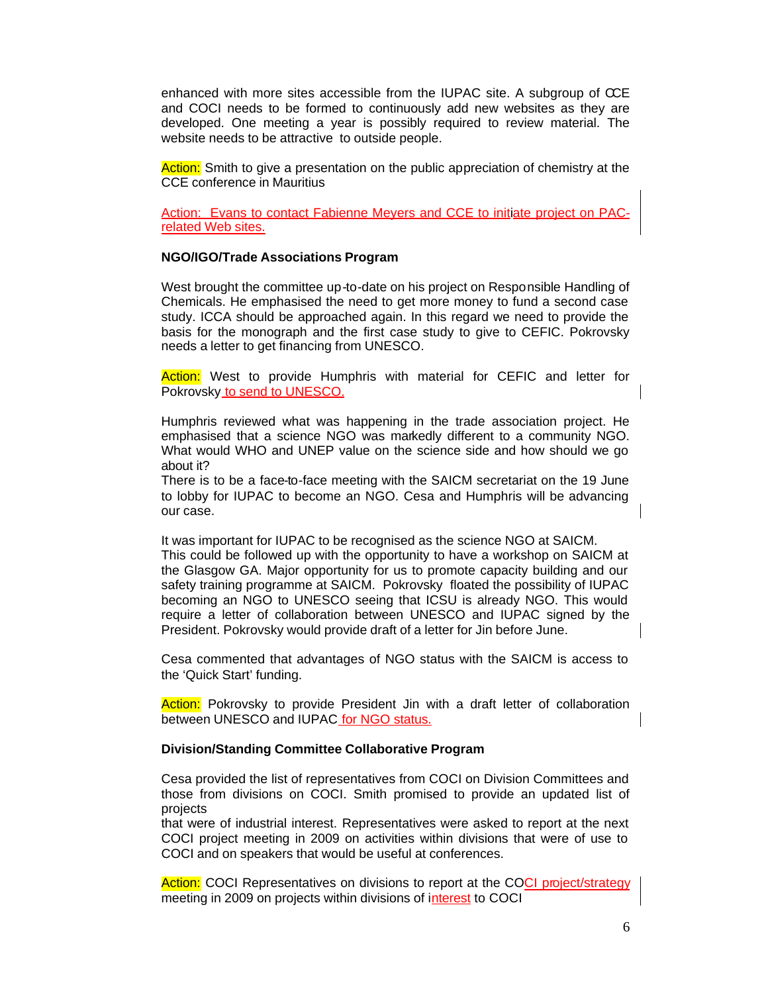enhanced with more sites accessible from the IUPAC site. A subgroup of CCE and COCI needs to be formed to continuously add new websites as they are developed. One meeting a year is possibly required to review material. The website needs to be attractive to outside people.

Action: Smith to give a presentation on the public appreciation of chemistry at the CCE conference in Mauritius

Action: Evans to contact Fabienne Meyers and CCE to initiate project related Web sites.

#### **NGO/IGO/Trade Associations Program**

West brought the committee up-to-date on his project on Responsible Handling of Chemicals. He emphasised the need to get more money to fund a second case study. ICCA should be approached again. In this regard we need to provide the basis for the monograph and the first case study to give to CEFIC. Pokrovsky needs a letter to get financing from UNESCO.

Action: West to provide Humphris with material for CEFIC and letter for Pokrovsky to send to UNESCO.

Humphris reviewed what was happening in the trade association project. He emphasised that a science NGO was markedly different to a community NGO. What would WHO and UNEP value on the science side and how should we go about it?

There is to be a face-to-face meeting with the SAICM secretariat on the 19 June to lobby for IUPAC to become an NGO. Cesa and Humphris will be advancing our case.

It was important for IUPAC to be recognised as the science NGO at SAICM. This could be followed up with the opportunity to have a workshop on SAICM at the Glasgow GA. Major opportunity for us to promote capacity building and our safety training programme at SAICM. Pokrovsky floated the possibility of IUPAC becoming an NGO to UNESCO seeing that ICSU is already NGO. This would require a letter of collaboration between UNESCO and IUPAC signed by the President. Pokrovsky would provide draft of a letter for Jin before June.

Cesa commented that advantages of NGO status with the SAICM is access to the 'Quick Start' funding.

Action: Pokrovsky to provide President Jin with a draft letter of collaboration between UNESCO and IUPAC for NGO status.

#### **Division/Standing Committee Collaborative Program**

Cesa provided the list of representatives from COCI on Division Committees and those from divisions on COCI. Smith promised to provide an updated list of projects

that were of industrial interest. Representatives were asked to report at the next COCI project meeting in 2009 on activities within divisions that were of use to COCI and on speakers that would be useful at conferences.

Action: COCI Representatives on divisions to report at the COCI project/strategy meeting in 2009 on projects within divisions of interest to COCI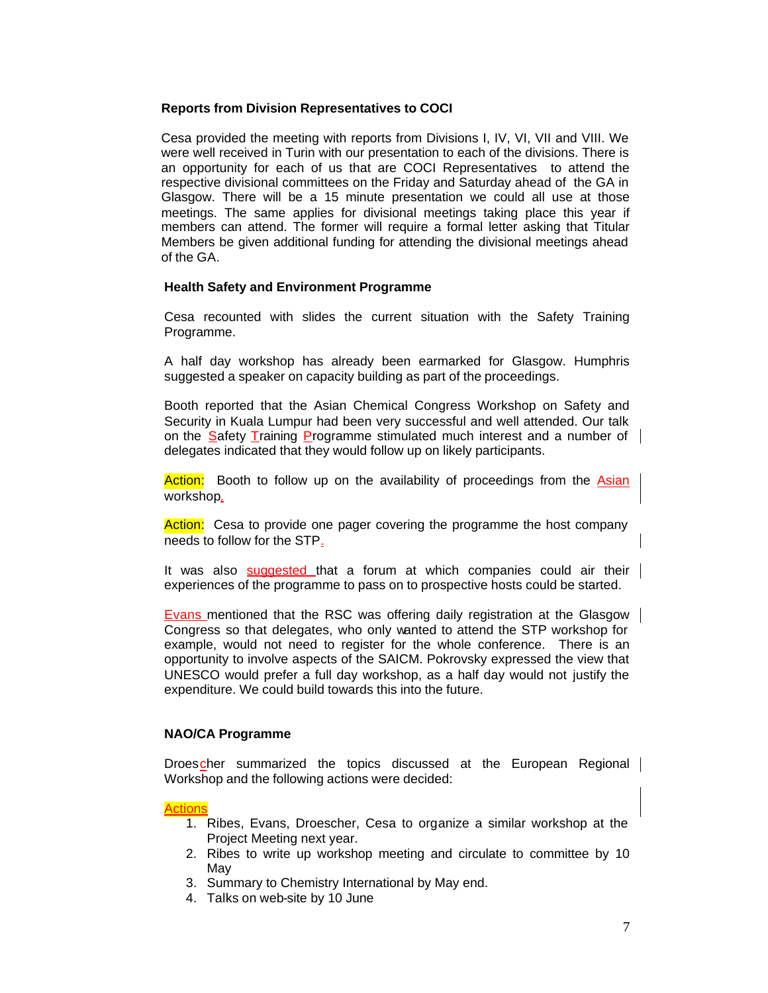## **Reports from Division Representatives to COCI**

Cesa provided the meeting with reports from Divisions I, IV, VI, VII and VIII. We were well received in Turin with our presentation to each of the divisions. There is an opportunity for each of us that are COCI Representatives to attend the respective divisional committees on the Friday and Saturday ahead of the GA in Glasgow. There will be a 15 minute presentation we could all use at those meetings. The same applies for divisional meetings taking place this year if members can attend. The former will require a formal letter asking that Titular Members be given additional funding for attending the divisional meetings ahead of the GA.

## **Health Safety and Environment Programme**

Cesa recounted with slides the current situation with the Safety Training Programme.

A half day workshop has already been earmarked for Glasgow. Humphris suggested a speaker on capacity building as part of the proceedings.

Booth reported that the Asian Chemical Congress Workshop on Safety and Security in Kuala Lumpur had been very successful and well attended. Our talk on the Safety Training Programme stimulated much interest and a number of delegates indicated that they would follow up on likely participants.

Action: Booth to follow up on the availability of proceedings from the Asian workshop.

Action: Cesa to provide one pager covering the programme the host company needs to follow for the STP.

It was also suggested that a forum at which companies could air their experiences of the programme to pass on to prospective hosts could be started.

Evans mentioned that the RSC was offering daily registration at the Glasgow Congress so that delegates, who only wanted to attend the STP workshop for example, would not need to register for the whole conference. There is an opportunity to involve aspects of the SAICM. Pokrovsky expressed the view that UNESCO would prefer a full day workshop, as a half day would not justify the expenditure. We could build towards this into the future.

### **NAO/CA Programme**

Droescher summarized the topics discussed at the European Regional Workshop and the following actions were decided:

### **Actions**

- 1. Ribes, Evans, Droescher, Cesa to organize a similar workshop at the Project Meeting next year.
- 2. Ribes to write up workshop meeting and circulate to committee by 10 May
- 3. Summary to Chemistry International by May end.
- 4. Talks on web-site by 10 June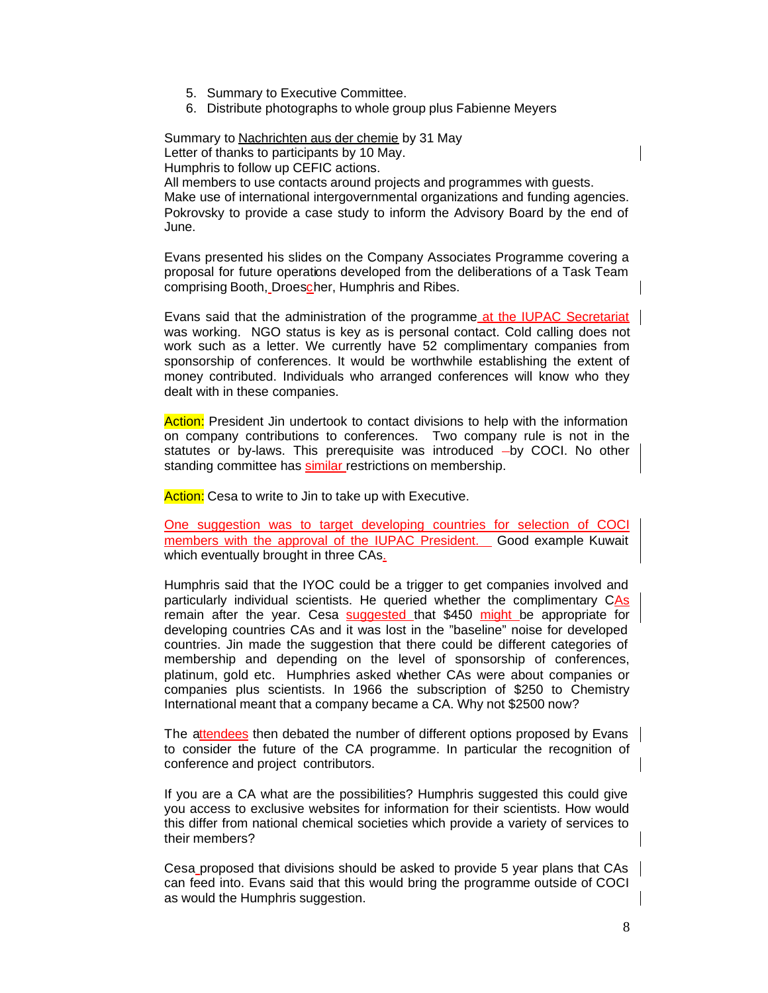- 5. Summary to Executive Committee.
- 6. Distribute photographs to whole group plus Fabienne Meyers

Summary to Nachrichten aus der chemie by 31 May Letter of thanks to participants by 10 May.

Humphris to follow up CEFIC actions.

All members to use contacts around projects and programmes with guests. Make use of international intergovernmental organizations and funding agencies. Pokrovsky to provide a case study to inform the Advisory Board by the end of June.

Evans presented his slides on the Company Associates Programme covering a proposal for future operations developed from the deliberations of a Task Team comprising Booth, Droescher, Humphris and Ribes.

Evans said that the administration of the programme at the IUPAC Secretariat was working. NGO status is key as is personal contact. Cold calling does not work such as a letter. We currently have 52 complimentary companies from sponsorship of conferences. It would be worthwhile establishing the extent of money contributed. Individuals who arranged conferences will know who they dealt with in these companies.

Action: President Jin undertook to contact divisions to help with the information on company contributions to conferences. Two company rule is not in the statutes or by-laws. This prerequisite was introduced  $-\mathsf{by}$  COCI. No other standing committee has similar restrictions on membership.

Action: Cesa to write to Jin to take up with Executive.

One suggestion was to target developing countries for selection of COCI members with the approval of the IUPAC President. Good example Kuwait which eventually brought in three CAs.

Humphris said that the IYOC could be a trigger to get companies involved and particularly individual scientists. He queried whether the complimentary CAs remain after the year. Cesa suggested that \$450 might be appropriate for developing countries CAs and it was lost in the "baseline" noise for developed countries. Jin made the suggestion that there could be different categories of membership and depending on the level of sponsorship of conferences, platinum, gold etc. Humphries asked whether CAs were about companies or companies plus scientists. In 1966 the subscription of \$250 to Chemistry International meant that a company became a CA. Why not \$2500 now?

The attendees then debated the number of different options proposed by Evans to consider the future of the CA programme. In particular the recognition of conference and project contributors.

If you are a CA what are the possibilities? Humphris suggested this could give you access to exclusive websites for information for their scientists. How would this differ from national chemical societies which provide a variety of services to their members?

Cesa proposed that divisions should be asked to provide 5 year plans that CAs can feed into. Evans said that this would bring the programme outside of COCI as would the Humphris suggestion.